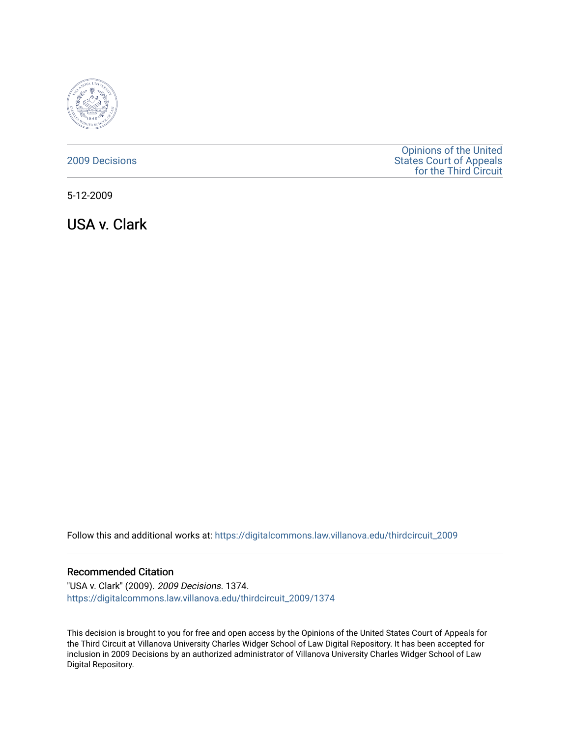

## [2009 Decisions](https://digitalcommons.law.villanova.edu/thirdcircuit_2009)

[Opinions of the United](https://digitalcommons.law.villanova.edu/thirdcircuit)  [States Court of Appeals](https://digitalcommons.law.villanova.edu/thirdcircuit)  [for the Third Circuit](https://digitalcommons.law.villanova.edu/thirdcircuit) 

5-12-2009

USA v. Clark

Follow this and additional works at: [https://digitalcommons.law.villanova.edu/thirdcircuit\\_2009](https://digitalcommons.law.villanova.edu/thirdcircuit_2009?utm_source=digitalcommons.law.villanova.edu%2Fthirdcircuit_2009%2F1374&utm_medium=PDF&utm_campaign=PDFCoverPages) 

## Recommended Citation

"USA v. Clark" (2009). 2009 Decisions. 1374. [https://digitalcommons.law.villanova.edu/thirdcircuit\\_2009/1374](https://digitalcommons.law.villanova.edu/thirdcircuit_2009/1374?utm_source=digitalcommons.law.villanova.edu%2Fthirdcircuit_2009%2F1374&utm_medium=PDF&utm_campaign=PDFCoverPages) 

This decision is brought to you for free and open access by the Opinions of the United States Court of Appeals for the Third Circuit at Villanova University Charles Widger School of Law Digital Repository. It has been accepted for inclusion in 2009 Decisions by an authorized administrator of Villanova University Charles Widger School of Law Digital Repository.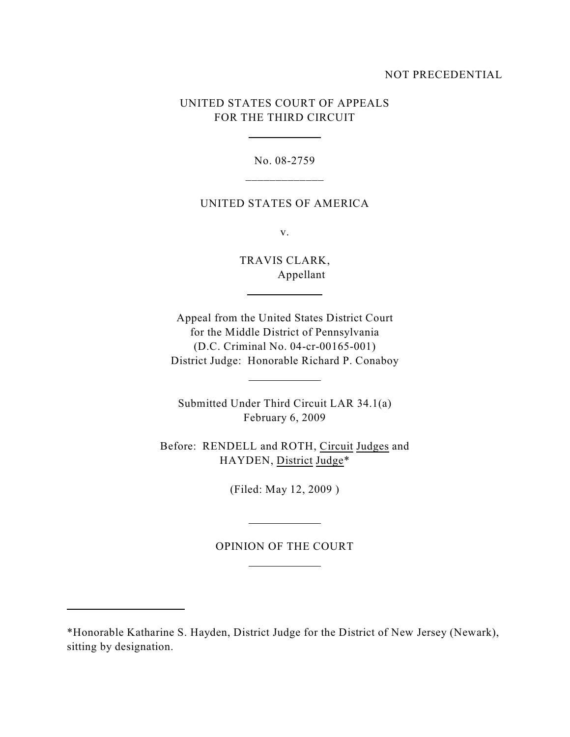## NOT PRECEDENTIAL

# UNITED STATES COURT OF APPEALS FOR THE THIRD CIRCUIT

 $\overline{a}$ 

l

l

 $\overline{a}$ 

l

l

No. 08-2759 \_\_\_\_\_\_\_\_\_\_\_\_\_

### UNITED STATES OF AMERICA

v.

TRAVIS CLARK, Appellant

Appeal from the United States District Court for the Middle District of Pennsylvania (D.C. Criminal No. 04-cr-00165-001) District Judge: Honorable Richard P. Conaboy

Submitted Under Third Circuit LAR 34.1(a) February 6, 2009

Before: RENDELL and ROTH, Circuit Judges and HAYDEN, District Judge\*

(Filed: May 12, 2009 )

OPINION OF THE COURT

<sup>\*</sup>Honorable Katharine S. Hayden, District Judge for the District of New Jersey (Newark), sitting by designation.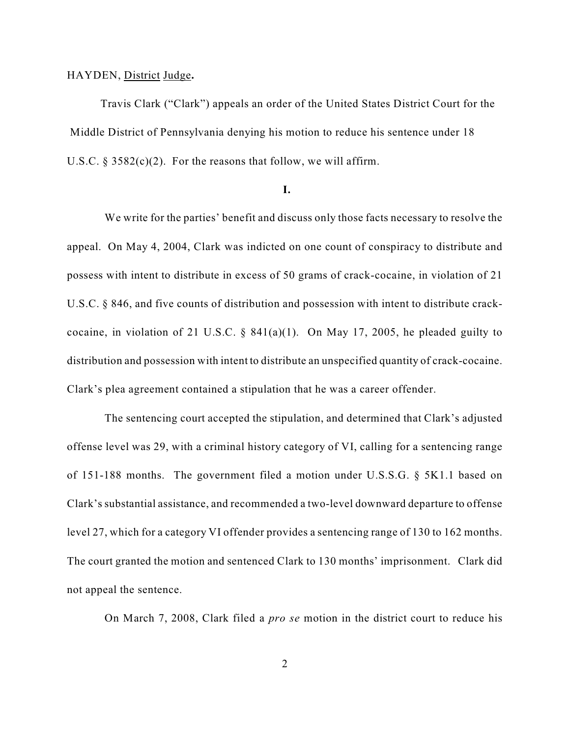#### HAYDEN, District Judge**.**

Travis Clark ("Clark") appeals an order of the United States District Court for the Middle District of Pennsylvania denying his motion to reduce his sentence under 18 U.S.C.  $\S 3582(c)(2)$ . For the reasons that follow, we will affirm.

## **I.**

We write for the parties' benefit and discuss only those facts necessary to resolve the appeal. On May 4, 2004, Clark was indicted on one count of conspiracy to distribute and possess with intent to distribute in excess of 50 grams of crack-cocaine, in violation of 21 U.S.C. § 846, and five counts of distribution and possession with intent to distribute crackcocaine, in violation of 21 U.S.C.  $\S$  841(a)(1). On May 17, 2005, he pleaded guilty to distribution and possession with intent to distribute an unspecified quantity of crack-cocaine. Clark's plea agreement contained a stipulation that he was a career offender.

The sentencing court accepted the stipulation, and determined that Clark's adjusted offense level was 29, with a criminal history category of VI, calling for a sentencing range of 151-188 months. The government filed a motion under U.S.S.G. § 5K1.1 based on Clark's substantial assistance, and recommended a two-level downward departure to offense level 27, which for a category VI offender provides a sentencing range of 130 to 162 months. The court granted the motion and sentenced Clark to 130 months' imprisonment. Clark did not appeal the sentence.

On March 7, 2008, Clark filed a *pro se* motion in the district court to reduce his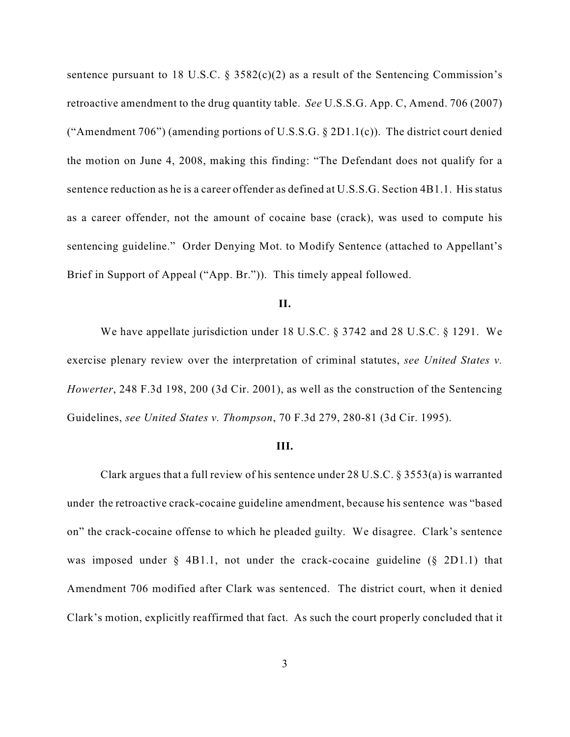sentence pursuant to 18 U.S.C.  $\S$  3582(c)(2) as a result of the Sentencing Commission's retroactive amendment to the drug quantity table. *See* U.S.S.G. App. C, Amend. 706 (2007) ("Amendment 706") (amending portions of U.S.S.G.  $\S 2D1.1(c)$ ). The district court denied the motion on June 4, 2008, making this finding: "The Defendant does not qualify for a sentence reduction as he is a career offender as defined at U.S.S.G. Section 4B1.1. His status as a career offender, not the amount of cocaine base (crack), was used to compute his sentencing guideline." Order Denying Mot. to Modify Sentence (attached to Appellant's Brief in Support of Appeal ("App. Br.")). This timely appeal followed.

## **II.**

We have appellate jurisdiction under 18 U.S.C. § 3742 and 28 U.S.C. § 1291. We exercise plenary review over the interpretation of criminal statutes, *see United States v. Howerter*, 248 F.3d 198, 200 (3d Cir. 2001), as well as the construction of the Sentencing Guidelines, *see United States v. Thompson*, 70 F.3d 279, 280-81 (3d Cir. 1995).

#### **III.**

Clark argues that a full review of his sentence under 28 U.S.C. § 3553(a) is warranted under the retroactive crack-cocaine guideline amendment, because his sentence was "based on" the crack-cocaine offense to which he pleaded guilty. We disagree. Clark's sentence was imposed under § 4B1.1, not under the crack-cocaine guideline (§ 2D1.1) that Amendment 706 modified after Clark was sentenced. The district court, when it denied Clark's motion, explicitly reaffirmed that fact. As such the court properly concluded that it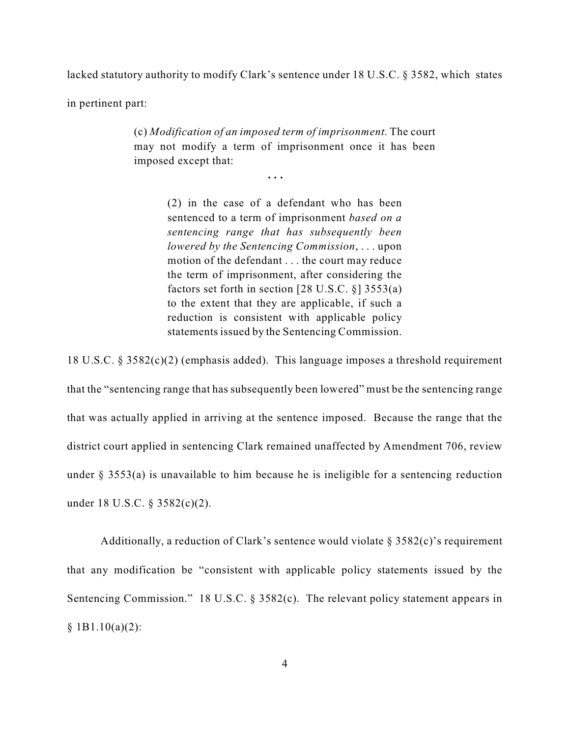lacked statutory authority to modify Clark's sentence under 18 U.S.C. § 3582, which states

in pertinent part:

(c) *Modification of an imposed term of imprisonment*. The court may not modify a term of imprisonment once it has been imposed except that:

**. . .**

(2) in the case of a defendant who has been sentenced to a term of imprisonment *based on a sentencing range that has subsequently been lowered by the Sentencing Commission*, . . . upon motion of the defendant . . . the court may reduce the term of imprisonment, after considering the factors set forth in section [28 U.S.C. §] 3553(a) to the extent that they are applicable, if such a reduction is consistent with applicable policy statements issued by the Sentencing Commission.

18 U.S.C. § 3582(c)(2) (emphasis added). This language imposes a threshold requirement that the "sentencing range that has subsequently been lowered" must be the sentencing range that was actually applied in arriving at the sentence imposed. Because the range that the district court applied in sentencing Clark remained unaffected by Amendment 706, review under § 3553(a) is unavailable to him because he is ineligible for a sentencing reduction under 18 U.S.C. § 3582(c)(2).

Additionally, a reduction of Clark's sentence would violate  $\S 3582(c)$ 's requirement that any modification be "consistent with applicable policy statements issued by the Sentencing Commission." 18 U.S.C. § 3582(c). The relevant policy statement appears in  $§$  1B1.10(a)(2):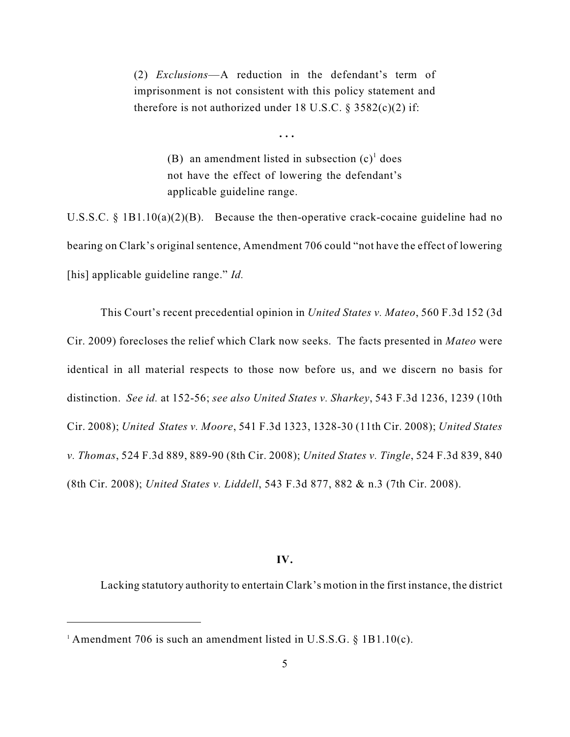(2) *Exclusions*—A reduction in the defendant's term of imprisonment is not consistent with this policy statement and therefore is not authorized under 18 U.S.C.  $\S$  3582(c)(2) if:

> (B) an amendment listed in subsection  $(c)^1$  does not have the effect of lowering the defendant's applicable guideline range.

**. . .**

U.S.S.C. § 1B1.10(a)(2)(B). Because the then-operative crack-cocaine guideline had no bearing on Clark's original sentence, Amendment 706 could "not have the effect of lowering [his] applicable guideline range." *Id.* 

This Court's recent precedential opinion in *United States v. Mateo*, 560 F.3d 152 (3d Cir. 2009) forecloses the relief which Clark now seeks. The facts presented in *Mateo* were identical in all material respects to those now before us, and we discern no basis for distinction. *See id.* at 152-56; *see also United States v. Sharkey*, 543 F.3d 1236, 1239 (10th Cir. 2008); *United States v. Moore*, 541 F.3d 1323, 1328-30 (11th Cir. 2008); *United States v. Thomas*, 524 F.3d 889, 889-90 (8th Cir. 2008); *United States v. Tingle*, 524 F.3d 839, 840 (8th Cir. 2008); *United States v. Liddell*, 543 F.3d 877, 882 & n.3 (7th Cir. 2008).

## **IV.**

Lacking statutory authority to entertain Clark's motion in the first instance, the district

<sup>&</sup>lt;sup>1</sup> Amendment 706 is such an amendment listed in U.S.S.G.  $\S$  1B1.10(c).